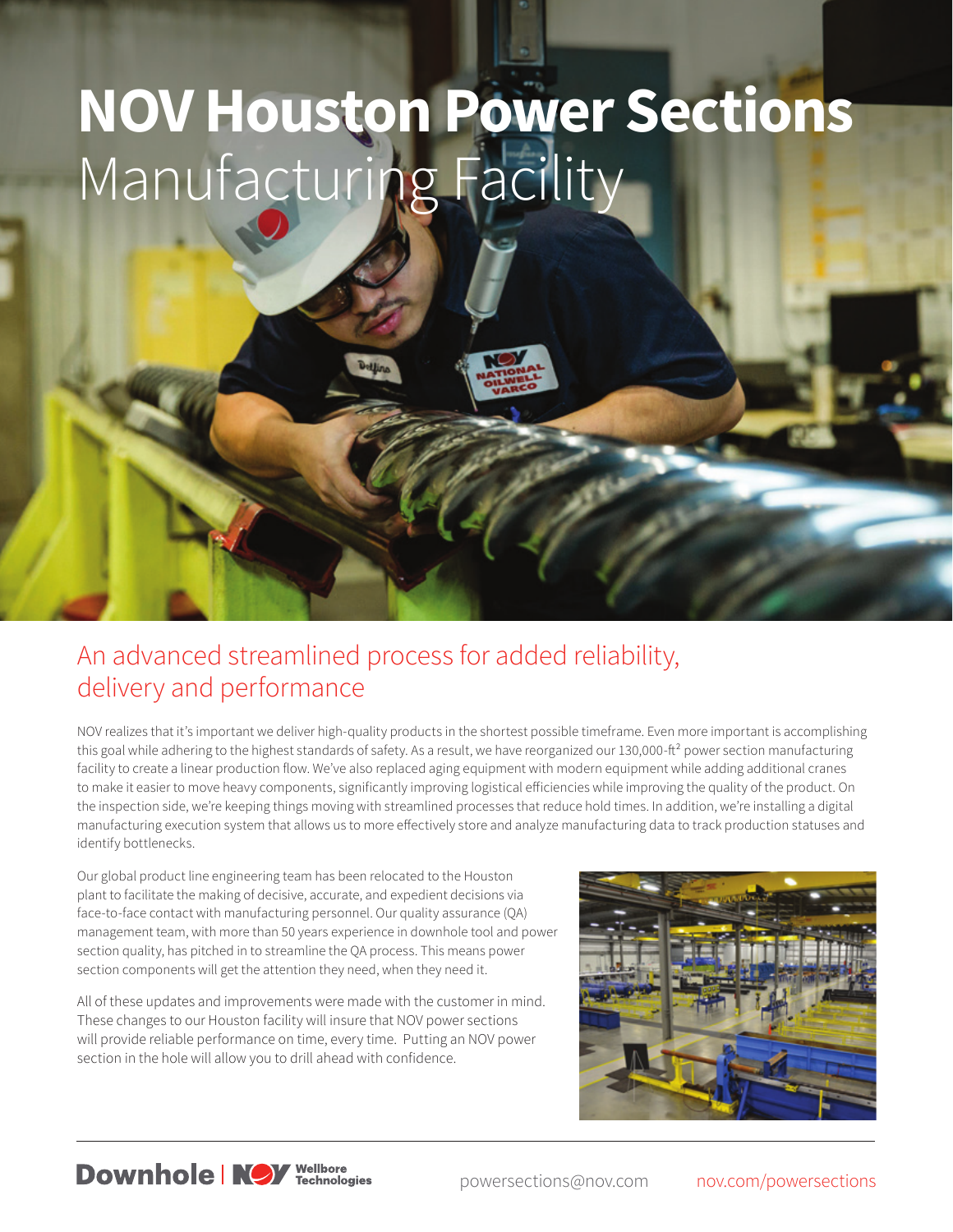## **NOV Houston Power Sections** Manufacturing Facility

## An advanced streamlined process for added reliability, delivery and performance

NOV realizes that it's important we deliver high-quality products in the shortest possible timeframe. Even more important is accomplishing this goal while adhering to the highest standards of safety. As a result, we have reorganized our 130,000-ft<sup>2</sup> power section manufacturing facility to create a linear production flow. We've also replaced aging equipment with modern equipment while adding additional cranes to make it easier to move heavy components, significantly improving logistical efficiencies while improving the quality of the product. On the inspection side, we're keeping things moving with streamlined processes that reduce hold times. In addition, we're installing a digital manufacturing execution system that allows us to more effectively store and analyze manufacturing data to track production statuses and identify bottlenecks.

Our global product line engineering team has been relocated to the Houston plant to facilitate the making of decisive, accurate, and expedient decisions via face-to-face contact with manufacturing personnel. Our quality assurance (QA) management team, with more than 50 years experience in downhole tool and power section quality, has pitched in to streamline the QA process. This means power section components will get the attention they need, when they need it.

All of these updates and improvements were made with the customer in mind. These changes to our Houston facility will insure that NOV power sections will provide reliable performance on time, every time. Putting an NOV power section in the hole will allow you to drill ahead with confidence.